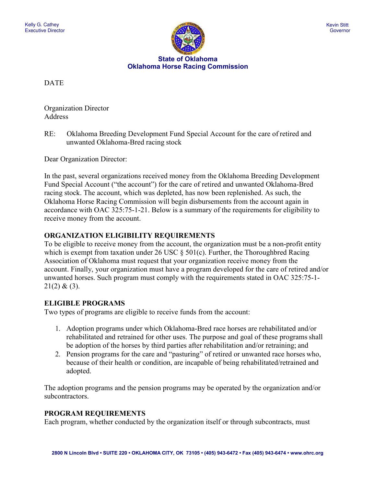

**State of Oklahoma Oklahoma Horse Racing Commission**

DATE

Organization Director Address

RE: Oklahoma Breeding Development Fund Special Account for the care of retired and unwanted Oklahoma-Bred racing stock

Dear Organization Director:

In the past, several organizations received money from the Oklahoma Breeding Development Fund Special Account ("the account") for the care of retired and unwanted Oklahoma-Bred racing stock. The account, which was depleted, has now been replenished. As such, the Oklahoma Horse Racing Commission will begin disbursements from the account again in accordance with OAC 325:75-1-21. Below is a summary of the requirements for eligibility to receive money from the account.

## **ORGANIZATION ELIGIBILITY REQUIREMENTS**

To be eligible to receive money from the account, the organization must be a non-profit entity which is exempt from taxation under 26 USC § 501(c). Further, the Thoroughbred Racing Association of Oklahoma must request that your organization receive money from the account. Finally, your organization must have a program developed for the care of retired and/or unwanted horses. Such program must comply with the requirements stated in OAC 325:75-1-  $21(2) & (3)$ .

# **ELIGIBLE PROGRAMS**

Two types of programs are eligible to receive funds from the account:

- 1. Adoption programs under which Oklahoma-Bred race horses are rehabilitated and/or rehabilitated and retrained for other uses. The purpose and goal of these programs shall be adoption of the horses by third parties after rehabilitation and/or retraining; and
- 2. Pension programs for the care and "pasturing" of retired or unwanted race horses who, because of their health or condition, are incapable of being rehabilitated/retrained and adopted.

The adoption programs and the pension programs may be operated by the organization and/or subcontractors.

### **PROGRAM REQUIREMENTS**

Each program, whether conducted by the organization itself or through subcontracts, must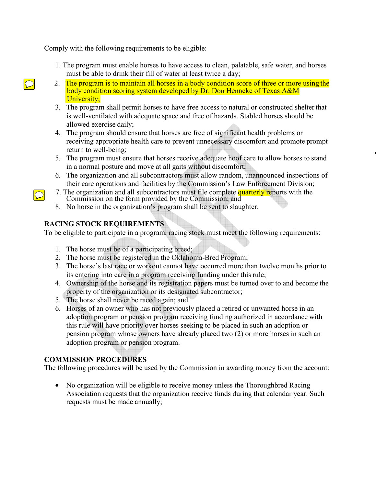Comply with the following requirements to be eligible:

- 1. The program must enable horses to have access to clean, palatable, safe water, and horses must be able to drink their fill of water at least twice a day;
- 2. The program is to maintain all horses in a body condition score of three or more using the body condition scoring system developed by Dr. Don Henneke of Texas A&M University;
- 3. The program shall permit horses to have free access to natural or constructed shelter that is well-ventilated with adequate space and free of hazards. Stabled horses should be allowed exercise daily;
- 4. The program should ensure that horses are free of significant health problems or receiving appropriate health care to prevent unnecessary discomfort and promote prompt return to well-being;
- 5. The program must ensure that horses receive adequate hoof care to allow horses to stand in a normal posture and move at all gaits without discomfort;
- 6. The organization and all subcontractors must allow random, unannounced inspections of their care operations and facilities by the Commission's Law Enforcement Division;
- 7. The organization and all subcontractors must file complete quarterly reports with the Commission on the form provided by the Commission; and
- 8. No horse in the organization's program shall be sent to slaughter.

# **RACING STOCK REQUIREMENTS**

To be eligible to participate in a program, racing stock must meet the following requirements:

- 1. The horse must be of a participating breed;
- 2. The horse must be registered in the Oklahoma-Bred Program;
- 3. The horse's last race or workout cannot have occurred more than twelve months prior to its entering into care in a program receiving funding under this rule;
- 4. Ownership of the horse and its registration papers must be turned over to and become the property of the organization or its designated subcontractor;
- 5. The horse shall never be raced again; and
- 6. Horses of an owner who has not previously placed a retired or unwanted horse in an adoption program or pension program receiving funding authorized in accordance with this rule will have priority over horses seeking to be placed in such an adoption or pension program whose owners have already placed two (2) or more horses in such an adoption program or pension program.

# **COMMISSION PROCEDURES**

The following procedures will be used by the Commission in awarding money from the account:

• No organization will be eligible to receive money unless the Thoroughbred Racing Association requests that the organization receive funds during that calendar year. Such requests must be made annually;

 $|\!\!\bigcirc\!\!|$